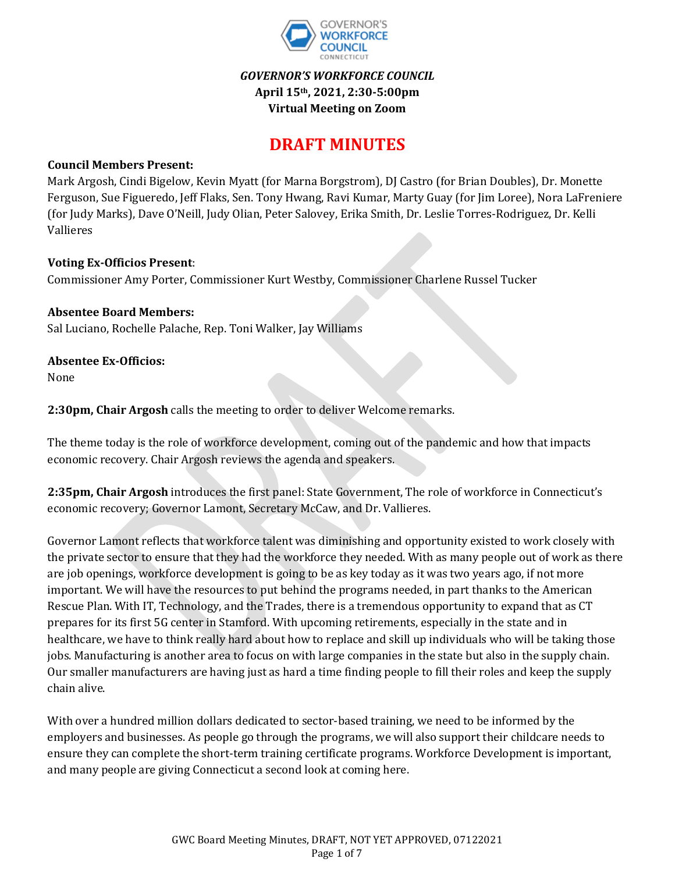

## *GOVERNOR'S WORKFORCE COUNCIL* **April 15th, 2021, 2:30-5:00pm Virtual Meeting on Zoom**

# **DRAFT MINUTES**

#### **Council Members Present:**

Mark Argosh, Cindi Bigelow, Kevin Myatt (for Marna Borgstrom), DJ Castro (for Brian Doubles), Dr. Monette Ferguson, Sue Figueredo, Jeff Flaks, Sen. Tony Hwang, Ravi Kumar, Marty Guay (for Jim Loree), Nora LaFreniere (for Judy Marks), Dave O'Neill, Judy Olian, Peter Salovey, Erika Smith, Dr. Leslie Torres-Rodriguez, Dr. Kelli Vallieres

#### **Voting Ex-Officios Present**:

Commissioner Amy Porter, Commissioner Kurt Westby, Commissioner Charlene Russel Tucker

#### **Absentee Board Members:**

Sal Luciano, Rochelle Palache, Rep. Toni Walker, Jay Williams

**Absentee Ex-Officios:**

None

**2:30pm, Chair Argosh** calls the meeting to order to deliver Welcome remarks.

The theme today is the role of workforce development, coming out of the pandemic and how that impacts economic recovery. Chair Argosh reviews the agenda and speakers.

**2:35pm, Chair Argosh** introduces the first panel: State Government, The role of workforce in Connecticut's economic recovery; Governor Lamont, Secretary McCaw, and Dr. Vallieres.

Governor Lamont reflects that workforce talent was diminishing and opportunity existed to work closely with the private sector to ensure that they had the workforce they needed. With as many people out of work as there are job openings, workforce development is going to be as key today as it was two years ago, if not more important. We will have the resources to put behind the programs needed, in part thanks to the American Rescue Plan. With IT, Technology, and the Trades, there is a tremendous opportunity to expand that as CT prepares for its first 5G center in Stamford. With upcoming retirements, especially in the state and in healthcare, we have to think really hard about how to replace and skill up individuals who will be taking those jobs. Manufacturing is another area to focus on with large companies in the state but also in the supply chain. Our smaller manufacturers are having just as hard a time finding people to fill their roles and keep the supply chain alive.

With over a hundred million dollars dedicated to sector-based training, we need to be informed by the employers and businesses. As people go through the programs, we will also support their childcare needs to ensure they can complete the short-term training certificate programs. Workforce Development is important, and many people are giving Connecticut a second look at coming here.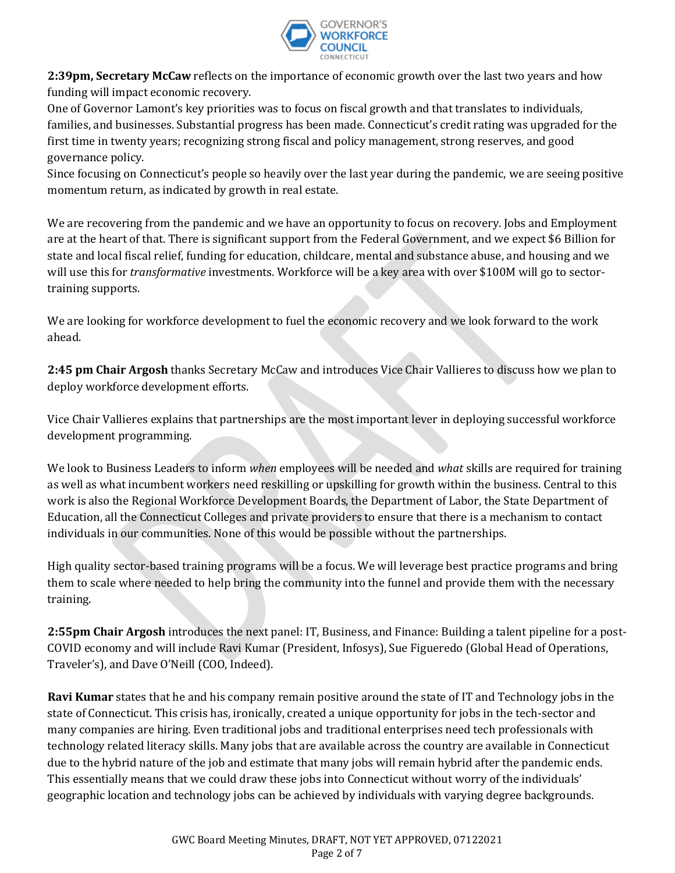

**2:39pm, Secretary McCaw** reflects on the importance of economic growth over the last two years and how funding will impact economic recovery.

One of Governor Lamont's key priorities was to focus on fiscal growth and that translates to individuals, families, and businesses. Substantial progress has been made. Connecticut's credit rating was upgraded for the first time in twenty years; recognizing strong fiscal and policy management, strong reserves, and good governance policy.

Since focusing on Connecticut's people so heavily over the last year during the pandemic, we are seeing positive momentum return, as indicated by growth in real estate.

We are recovering from the pandemic and we have an opportunity to focus on recovery. Jobs and Employment are at the heart of that. There is significant support from the Federal Government, and we expect \$6 Billion for state and local fiscal relief, funding for education, childcare, mental and substance abuse, and housing and we will use this for *transformative* investments. Workforce will be a key area with over \$100M will go to sectortraining supports.

We are looking for workforce development to fuel the economic recovery and we look forward to the work ahead.

**2:45 pm Chair Argosh** thanks Secretary McCaw and introduces Vice Chair Vallieres to discuss how we plan to deploy workforce development efforts.

Vice Chair Vallieres explains that partnerships are the most important lever in deploying successful workforce development programming.

We look to Business Leaders to inform *when* employees will be needed and *what* skills are required for training as well as what incumbent workers need reskilling or upskilling for growth within the business. Central to this work is also the Regional Workforce Development Boards, the Department of Labor, the State Department of Education, all the Connecticut Colleges and private providers to ensure that there is a mechanism to contact individuals in our communities. None of this would be possible without the partnerships.

High quality sector-based training programs will be a focus. We will leverage best practice programs and bring them to scale where needed to help bring the community into the funnel and provide them with the necessary training.

**2:55pm Chair Argosh** introduces the next panel: IT, Business, and Finance: Building a talent pipeline for a post-COVID economy and will include Ravi Kumar (President, Infosys), Sue Figueredo (Global Head of Operations, Traveler's), and Dave O'Neill (COO, Indeed).

**Ravi Kumar** states that he and his company remain positive around the state of IT and Technology jobs in the state of Connecticut. This crisis has, ironically, created a unique opportunity for jobs in the tech-sector and many companies are hiring. Even traditional jobs and traditional enterprises need tech professionals with technology related literacy skills. Many jobs that are available across the country are available in Connecticut due to the hybrid nature of the job and estimate that many jobs will remain hybrid after the pandemic ends. This essentially means that we could draw these jobs into Connecticut without worry of the individuals' geographic location and technology jobs can be achieved by individuals with varying degree backgrounds.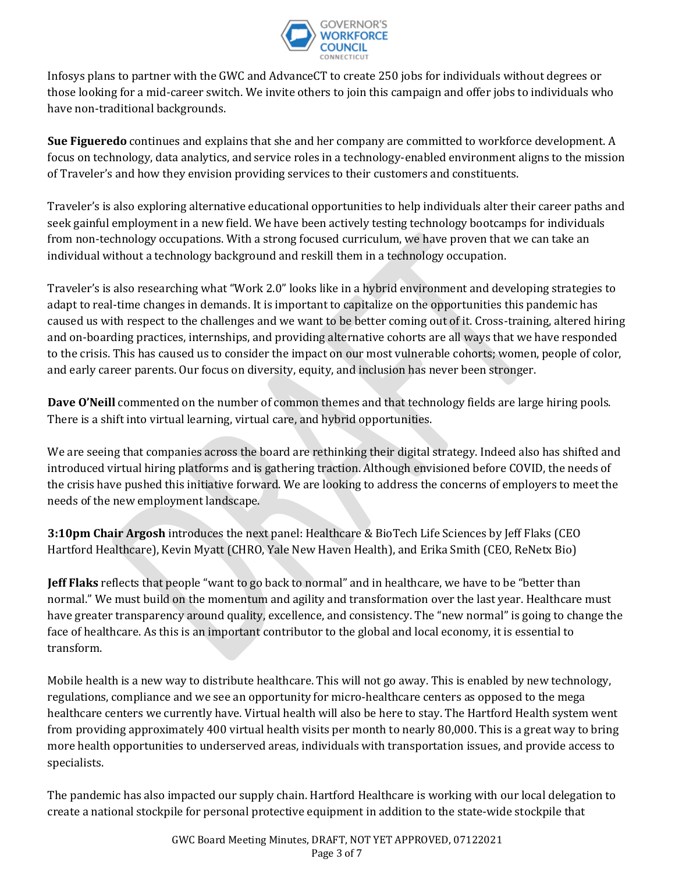

Infosys plans to partner with the GWC and AdvanceCT to create 250 jobs for individuals without degrees or those looking for a mid-career switch. We invite others to join this campaign and offer jobs to individuals who have non-traditional backgrounds.

**Sue Figueredo** continues and explains that she and her company are committed to workforce development. A focus on technology, data analytics, and service roles in a technology-enabled environment aligns to the mission of Traveler's and how they envision providing services to their customers and constituents.

Traveler's is also exploring alternative educational opportunities to help individuals alter their career paths and seek gainful employment in a new field. We have been actively testing technology bootcamps for individuals from non-technology occupations. With a strong focused curriculum, we have proven that we can take an individual without a technology background and reskill them in a technology occupation.

Traveler's is also researching what "Work 2.0" looks like in a hybrid environment and developing strategies to adapt to real-time changes in demands. It is important to capitalize on the opportunities this pandemic has caused us with respect to the challenges and we want to be better coming out of it. Cross-training, altered hiring and on-boarding practices, internships, and providing alternative cohorts are all ways that we have responded to the crisis. This has caused us to consider the impact on our most vulnerable cohorts; women, people of color, and early career parents. Our focus on diversity, equity, and inclusion has never been stronger.

**Dave O'Neill** commented on the number of common themes and that technology fields are large hiring pools. There is a shift into virtual learning, virtual care, and hybrid opportunities.

We are seeing that companies across the board are rethinking their digital strategy. Indeed also has shifted and introduced virtual hiring platforms and is gathering traction. Although envisioned before COVID, the needs of the crisis have pushed this initiative forward. We are looking to address the concerns of employers to meet the needs of the new employment landscape.

**3:10pm Chair Argosh** introduces the next panel: Healthcare & BioTech Life Sciences by Jeff Flaks (CEO Hartford Healthcare), Kevin Myatt (CHRO, Yale New Haven Health), and Erika Smith (CEO, ReNetx Bio)

**Jeff Flaks** reflects that people "want to go back to normal" and in healthcare, we have to be "better than normal." We must build on the momentum and agility and transformation over the last year. Healthcare must have greater transparency around quality, excellence, and consistency. The "new normal" is going to change the face of healthcare. As this is an important contributor to the global and local economy, it is essential to transform.

Mobile health is a new way to distribute healthcare. This will not go away. This is enabled by new technology, regulations, compliance and we see an opportunity for micro-healthcare centers as opposed to the mega healthcare centers we currently have. Virtual health will also be here to stay. The Hartford Health system went from providing approximately 400 virtual health visits per month to nearly 80,000. This is a great way to bring more health opportunities to underserved areas, individuals with transportation issues, and provide access to specialists.

The pandemic has also impacted our supply chain. Hartford Healthcare is working with our local delegation to create a national stockpile for personal protective equipment in addition to the state-wide stockpile that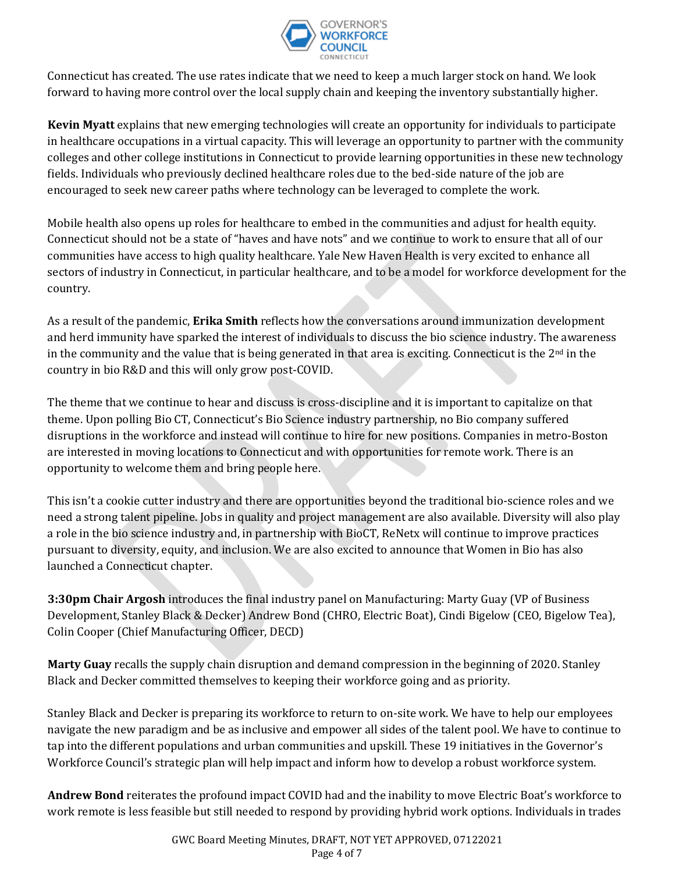

Connecticut has created. The use rates indicate that we need to keep a much larger stock on hand. We look forward to having more control over the local supply chain and keeping the inventory substantially higher.

**Kevin Myatt** explains that new emerging technologies will create an opportunity for individuals to participate in healthcare occupations in a virtual capacity. This will leverage an opportunity to partner with the community colleges and other college institutions in Connecticut to provide learning opportunities in these new technology fields. Individuals who previously declined healthcare roles due to the bed-side nature of the job are encouraged to seek new career paths where technology can be leveraged to complete the work.

Mobile health also opens up roles for healthcare to embed in the communities and adjust for health equity. Connecticut should not be a state of "haves and have nots" and we continue to work to ensure that all of our communities have access to high quality healthcare. Yale New Haven Health is very excited to enhance all sectors of industry in Connecticut, in particular healthcare, and to be a model for workforce development for the country.

As a result of the pandemic, **Erika Smith** reflects how the conversations around immunization development and herd immunity have sparked the interest of individuals to discuss the bio science industry. The awareness in the community and the value that is being generated in that area is exciting. Connecticut is the  $2<sup>nd</sup>$  in the country in bio R&D and this will only grow post-COVID.

The theme that we continue to hear and discuss is cross-discipline and it is important to capitalize on that theme. Upon polling Bio CT, Connecticut's Bio Science industry partnership, no Bio company suffered disruptions in the workforce and instead will continue to hire for new positions. Companies in metro-Boston are interested in moving locations to Connecticut and with opportunities for remote work. There is an opportunity to welcome them and bring people here.

This isn't a cookie cutter industry and there are opportunities beyond the traditional bio-science roles and we need a strong talent pipeline. Jobs in quality and project management are also available. Diversity will also play a role in the bio science industry and, in partnership with BioCT, ReNetx will continue to improve practices pursuant to diversity, equity, and inclusion. We are also excited to announce that Women in Bio has also launched a Connecticut chapter.

**3:30pm Chair Argosh** introduces the final industry panel on Manufacturing: Marty Guay (VP of Business Development, Stanley Black & Decker) Andrew Bond (CHRO, Electric Boat), Cindi Bigelow (CEO, Bigelow Tea), Colin Cooper (Chief Manufacturing Officer, DECD)

**Marty Guay** recalls the supply chain disruption and demand compression in the beginning of 2020. Stanley Black and Decker committed themselves to keeping their workforce going and as priority.

Stanley Black and Decker is preparing its workforce to return to on-site work. We have to help our employees navigate the new paradigm and be as inclusive and empower all sides of the talent pool. We have to continue to tap into the different populations and urban communities and upskill. These 19 initiatives in the Governor's Workforce Council's strategic plan will help impact and inform how to develop a robust workforce system.

**Andrew Bond** reiterates the profound impact COVID had and the inability to move Electric Boat's workforce to work remote is less feasible but still needed to respond by providing hybrid work options. Individuals in trades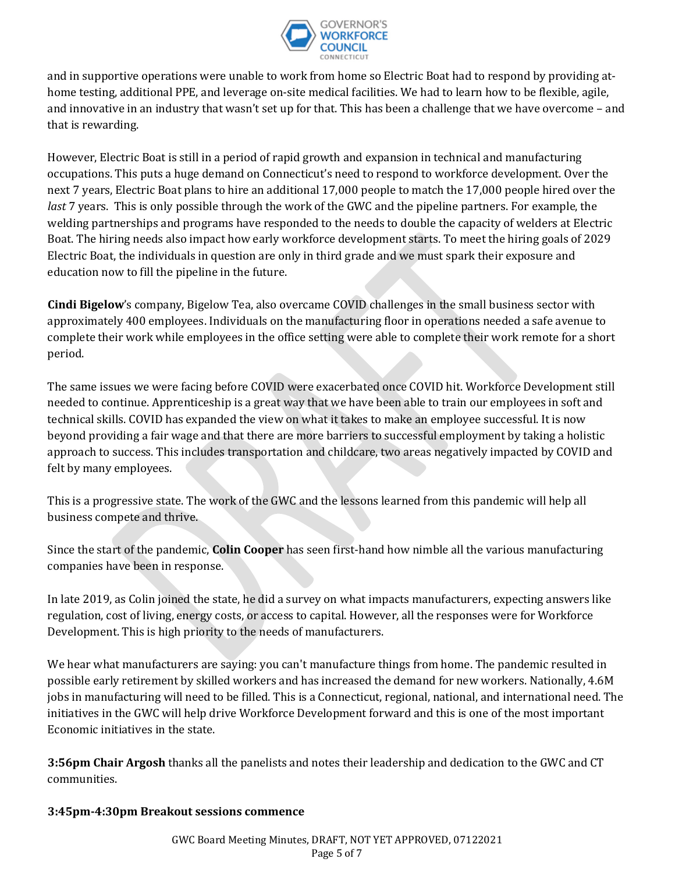

and in supportive operations were unable to work from home so Electric Boat had to respond by providing athome testing, additional PPE, and leverage on-site medical facilities. We had to learn how to be flexible, agile, and innovative in an industry that wasn't set up for that. This has been a challenge that we have overcome – and that is rewarding.

However, Electric Boat is still in a period of rapid growth and expansion in technical and manufacturing occupations. This puts a huge demand on Connecticut's need to respond to workforce development. Over the next 7 years, Electric Boat plans to hire an additional 17,000 people to match the 17,000 people hired over the *last* 7 years. This is only possible through the work of the GWC and the pipeline partners. For example, the welding partnerships and programs have responded to the needs to double the capacity of welders at Electric Boat. The hiring needs also impact how early workforce development starts. To meet the hiring goals of 2029 Electric Boat, the individuals in question are only in third grade and we must spark their exposure and education now to fill the pipeline in the future.

**Cindi Bigelow**'s company, Bigelow Tea, also overcame COVID challenges in the small business sector with approximately 400 employees. Individuals on the manufacturing floor in operations needed a safe avenue to complete their work while employees in the office setting were able to complete their work remote for a short period.

The same issues we were facing before COVID were exacerbated once COVID hit. Workforce Development still needed to continue. Apprenticeship is a great way that we have been able to train our employees in soft and technical skills. COVID has expanded the view on what it takes to make an employee successful. It is now beyond providing a fair wage and that there are more barriers to successful employment by taking a holistic approach to success. This includes transportation and childcare, two areas negatively impacted by COVID and felt by many employees.

This is a progressive state. The work of the GWC and the lessons learned from this pandemic will help all business compete and thrive.

Since the start of the pandemic, **Colin Cooper** has seen first-hand how nimble all the various manufacturing companies have been in response.

In late 2019, as Colin joined the state, he did a survey on what impacts manufacturers, expecting answers like regulation, cost of living, energy costs, or access to capital. However, all the responses were for Workforce Development. This is high priority to the needs of manufacturers.

We hear what manufacturers are saying: you can't manufacture things from home. The pandemic resulted in possible early retirement by skilled workers and has increased the demand for new workers. Nationally, 4.6M jobs in manufacturing will need to be filled. This is a Connecticut, regional, national, and international need. The initiatives in the GWC will help drive Workforce Development forward and this is one of the most important Economic initiatives in the state.

**3:56pm Chair Argosh** thanks all the panelists and notes their leadership and dedication to the GWC and CT communities.

### **3:45pm-4:30pm Breakout sessions commence**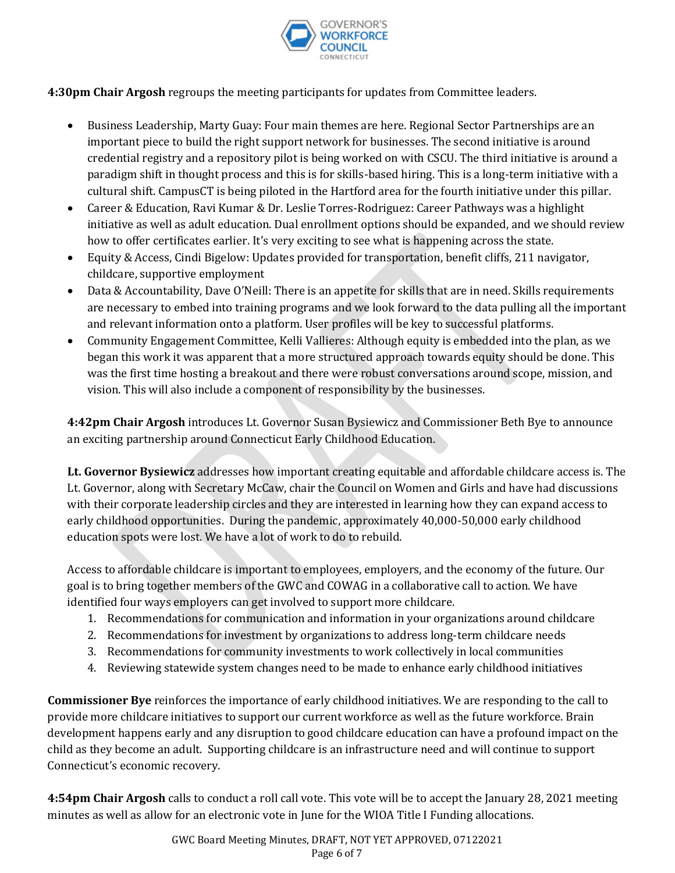

**4:30pm Chair Argosh** regroups the meeting participants for updates from Committee leaders.

- Business Leadership, Marty Guay: Four main themes are here. Regional Sector Partnerships are an important piece to build the right support network for businesses. The second initiative is around credential registry and a repository pilot is being worked on with CSCU. The third initiative is around a paradigm shift in thought process and this is for skills-based hiring. This is a long-term initiative with a cultural shift. CampusCT is being piloted in the Hartford area for the fourth initiative under this pillar.
- Career & Education, Ravi Kumar & Dr. Leslie Torres-Rodriguez: Career Pathways was a highlight initiative as well as adult education. Dual enrollment options should be expanded, and we should review how to offer certificates earlier. It's very exciting to see what is happening across the state.
- Equity & Access, Cindi Bigelow: Updates provided for transportation, benefit cliffs, 211 navigator, childcare, supportive employment
- Data & Accountability, Dave O'Neill: There is an appetite for skills that are in need. Skills requirements are necessary to embed into training programs and we look forward to the data pulling all the important and relevant information onto a platform. User profiles will be key to successful platforms.
- Community Engagement Committee, Kelli Vallieres: Although equity is embedded into the plan, as we began this work it was apparent that a more structured approach towards equity should be done. This was the first time hosting a breakout and there were robust conversations around scope, mission, and vision. This will also include a component of responsibility by the businesses.

**4:42pm Chair Argosh** introduces Lt. Governor Susan Bysiewicz and Commissioner Beth Bye to announce an exciting partnership around Connecticut Early Childhood Education.

**Lt. Governor Bysiewicz** addresses how important creating equitable and affordable childcare access is. The Lt. Governor, along with Secretary McCaw, chair the Council on Women and Girls and have had discussions with their corporate leadership circles and they are interested in learning how they can expand access to early childhood opportunities. During the pandemic, approximately 40,000-50,000 early childhood education spots were lost. We have a lot of work to do to rebuild.

Access to affordable childcare is important to employees, employers, and the economy of the future. Our goal is to bring together members of the GWC and COWAG in a collaborative call to action. We have identified four ways employers can get involved to support more childcare.

- 1. Recommendations for communication and information in your organizations around childcare
- 2. Recommendations for investment by organizations to address long-term childcare needs
- 3. Recommendations for community investments to work collectively in local communities
- 4. Reviewing statewide system changes need to be made to enhance early childhood initiatives

**Commissioner Bye** reinforces the importance of early childhood initiatives. We are responding to the call to provide more childcare initiatives to support our current workforce as well as the future workforce. Brain development happens early and any disruption to good childcare education can have a profound impact on the child as they become an adult. Supporting childcare is an infrastructure need and will continue to support Connecticut's economic recovery.

**4:54pm Chair Argosh** calls to conduct a roll call vote. This vote will be to accept the January 28, 2021 meeting minutes as well as allow for an electronic vote in June for the WIOA Title I Funding allocations.